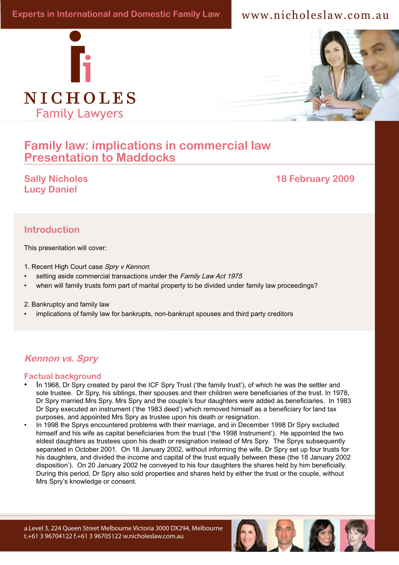# www.nicholeslaw.com.au





# **Family law: implications in commercial law Presentation to Maddocks Presentation to Maddocks**

Sally Nicholes has particular expertise in international relationship in international relation and children and children and children and children and children and children and children and children and children and child abduction cases and forum disputes. Her considerable experience in this considerable experience in this constant<br>In this considerable experience in this considerable experience in this considerable experience in this const are to her passion for cases in vertex in the cases in the cases in the cases in the cases in the cases in the cases in the cases in the cases in the cases in the cases in the cases in the cases in the cases in the cases i **Lucy Daniel** 

#### domain. She is: **Introduction**

 $\Delta$  This presentation will cover: the Asia-Pacific region that cover the Asia-Pacific region that provide poor and disadvantaged poor and disadv<br>The Asia-Pacific region that provide poor and disadvantaged poor and disadvantaged poor and disadvantaged poor This presentation will cover:

- children with an opportunity to break the poverty cycle, like the poverty cycle, like the poverty cycle, like the poverty cycle, like the poverty cycle, like the poverty cycle, and the poverty cycle, and the poverty cycle,
- setting aside commercial transactions under the Family Law Act 1975<br>• setting aside commercial transactions under the Family Law Act 1975
- when will family trusts form part of marital property to be divided under family law proceedings?

a Board member, Children's Rights International, which brings to the children's problem in the children's control of the children's control of the children's control of the children's control of the children's control of t

• implications of family law for bankrupts, non-bankrupt spouses and third party creditors

# **Kennon vs. Spry**

#### **Factual background**

- In 1968, Dr Spry created by parol the ICF Spry Trust ('the family trust'), of which he was the settler and sole trustee. Dr Spry, his siblings, their spouses and their children were beneficiaries of the trust. In 1978, Dr Spry married Mrs Spry. Mrs Spry and the couple's four daughters were added as beneficiaries. In 1983 Dr Spry executed an instrument ('the 1983 deed') which removed himself as a beneficiary for land tax purposes, and appointed Mrs Spry as trustee upon his death or resignation.
- In 1998 the Sprys encountered problems with their marriage, and in December 1998 Dr Spry excluded himself and his wife as capital beneficiaries from the trust ('the 1998 Instrument'). He appointed the two eldest daughters as trustees upon his death or resignation instead of Mrs Spry. The Sprys subsequently separated in October 2001. On 18 January 2002, without informing the wife, Dr Spry set up four trusts for his daughters, and divided the income and capital of the trust equally between these (the 18 January 2002 disposition'). On 20 January 2002 he conveyed to his four daughters the shares held by him beneficially. During this period, Dr Spry also sold properties and shares held by either the trust or the couple, without Mrs Spry's knowledge or consent.

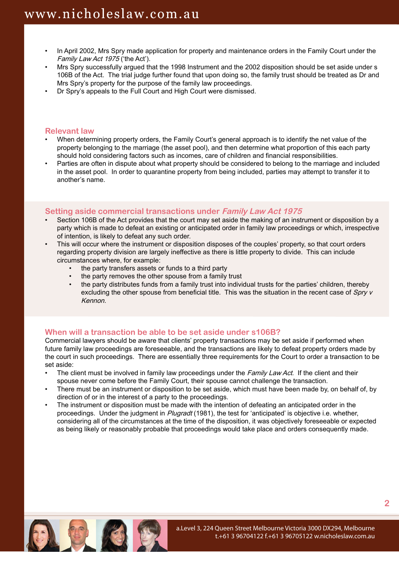- In April 2002, Mrs Spry made application for property and maintenance orders in the Family Court under the Family Law Act 1975 ('the Act').
- Mrs Spry successfully argued that the 1998 Instrument and the 2002 disposition should be set aside under s 106B of the Act. The trial judge further found that upon doing so, the family trust should be treated as Dr and Mrs Spry's property for the purpose of the family law proceedings.
- Dr Spry's appeals to the Full Court and High Court were dismissed.

#### **Relevant law**

- When determining property orders, the Family Court's general approach is to identify the net value of the property belonging to the marriage (the asset pool), and then determine what proportion of this each party should hold considering factors such as incomes, care of children and financial responsibilities.
- Parties are often in dispute about what property should be considered to belong to the marriage and included in the asset pool. In order to quarantine property from being included, parties may attempt to transfer it to another's name.

#### **Setting aside commercial transactions under Family Law Act 1975**

- Section 106B of the Act provides that the court may set aside the making of an instrument or disposition by a party which is made to defeat an existing or anticipated order in family law proceedings or which, irrespective of intention, is likely to defeat any such order.
- This will occur where the instrument or disposition disposes of the couples' property, so that court orders regarding property division are largely ineffective as there is little property to divide. This can include circumstances where, for example:
	- the party transfers assets or funds to a third party
	- the party removes the other spouse from a family trust
	- the party distributes funds from a family trust into individual trusts for the parties' children, thereby excluding the other spouse from beneficial title. This was the situation in the recent case of Spry v Kennon.

## **When will a transaction be able to be set aside under s106B?**

Commercial lawyers should be aware that clients' property transactions may be set aside if performed when future family law proceedings are foreseeable, and the transactions are likely to defeat property orders made by the court in such proceedings. There are essentially three requirements for the Court to order a transaction to be set aside:

- The client must be involved in family law proceedings under the Family Law Act. If the client and their spouse never come before the Family Court, their spouse cannot challenge the transaction.
- There must be an instrument or disposition to be set aside, which must have been made by, on behalf of, by direction of or in the interest of a party to the proceedings.
- The instrument or disposition must be made with the intention of defeating an anticipated order in the proceedings. Under the judgment in Plugradt (1981), the test for 'anticipated' is objective i.e. whether, considering all of the circumstances at the time of the disposition, it was objectively foreseeable or expected as being likely or reasonably probable that proceedings would take place and orders consequently made.

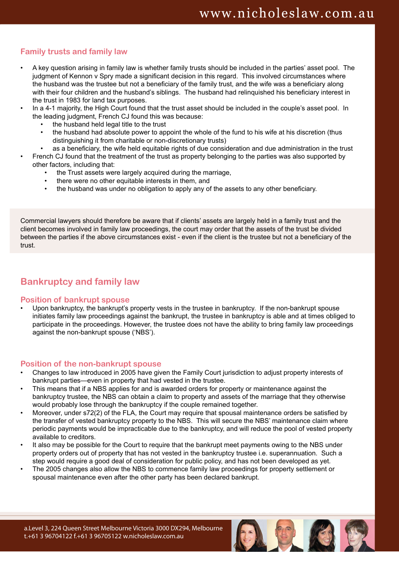# **Family trusts and family law**

- A key question arising in family law is whether family trusts should be included in the parties' asset pool. The judgment of Kennon v Spry made a significant decision in this regard. This involved circumstances where the husband was the trustee but not a beneficiary of the family trust, and the wife was a beneficiary along with their four children and the husband's siblings. The husband had relinguished his beneficiary interest in the trust in 1983 for land tax purposes.
- In a 4-1 majority, the High Court found that the trust asset should be included in the couple's asset pool. In the leading judgment, French CJ found this was because:
	- the husband held legal title to the trust
	- the husband had absolute power to appoint the whole of the fund to his wife at his discretion (thus distinguishing it from charitable or non-discretionary trusts)
	- as a beneficiary, the wife held equitable rights of due consideration and due administration in the trust
- French CJ found that the treatment of the trust as property belonging to the parties was also supported by other factors, including that:
	- the Trust assets were largely acquired during the marriage,
	- there were no other equitable interests in them, and
	- the husband was under no obligation to apply any of the assets to any other beneficiary.

Commercial lawyers should therefore be aware that if clients' assets are largely held in a family trust and the client becomes involved in family law proceedings, the court may order that the assets of the trust be divided between the parties if the above circumstances exist - even if the client is the trustee but not a beneficiary of the trust.

# **Bankruptcy and family law**

#### **Position of bankrupt spouse**

Upon bankruptcy, the bankrupt's property vests in the trustee in bankruptcy. If the non-bankrupt spouse initiates family law proceedings against the bankrupt, the trustee in bankruptcy is able and at times obliged to participate in the proceedings. However, the trustee does not have the ability to bring family law proceedings against the non-bankrupt spouse ('NBS').

#### **Position of the non-bankrupt spouse**

- Changes to law introduced in 2005 have given the Family Court jurisdiction to adjust property interests of bankrupt parties—even in property that had vested in the trustee.
- This means that if a NBS applies for and is awarded orders for property or maintenance against the bankruptcy trustee, the NBS can obtain a claim to property and assets of the marriage that they otherwise would probably lose through the bankruptcy if the couple remained together.
- Moreover, under s72(2) of the FLA, the Court may require that spousal maintenance orders be satisfied by the transfer of vested bankruptcy property to the NBS. This will secure the NBS' maintenance claim where periodic payments would be impracticable due to the bankruptcy, and will reduce the pool of vested property available to creditors.
- It also may be possible for the Court to require that the bankrupt meet payments owing to the NBS under property orders out of property that has not vested in the bankruptcy trustee i.e. superannuation. Such a step would require a good deal of consideration for public policy, and has not been developed as yet.
- The 2005 changes also allow the NBS to commence family law proceedings for property settlement or spousal maintenance even after the other party has been declared bankrupt.

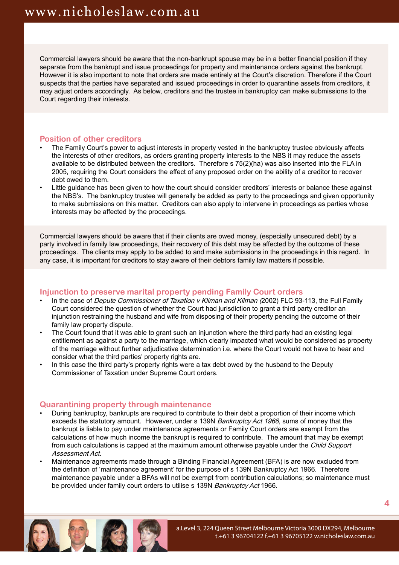Commercial lawyers should be aware that the non-bankrupt spouse may be in a better financial position if they separate from the bankrupt and issue proceedings for property and maintenance orders against the bankrupt. However it is also important to note that orders are made entirely at the Court's discretion. Therefore if the Court suspects that the parties have separated and issued proceedings in order to quarantine assets from creditors, it may adjust orders accordingly. As below, creditors and the trustee in bankruptcy can make submissions to the Court regarding their interests.

#### **Position of other creditors**

- The Family Court's power to adjust interests in property vested in the bankruptcy trustee obviously affects the interests of other creditors, as orders granting property interests to the NBS it may reduce the assets available to be distributed between the creditors. Therefore s 75(2)(ha) was also inserted into the FLA in 2005, requiring the Court considers the effect of any proposed order on the ability of a creditor to recover debt owed to them.
- Little guidance has been given to how the court should consider creditors' interests or balance these against the NBS's. The bankruptcy trustee will generally be added as party to the proceedings and given opportunity to make submissions on this matter. Creditors can also apply to intervene in proceedings as parties whose interests may be affected by the proceedings.

Commercial lawyers should be aware that if their clients are owed money, (especially unsecured debt) by a party involved in family law proceedings, their recovery of this debt may be affected by the outcome of these proceedings. The clients may apply to be added to and make submissions in the proceedings in this regard. In any case, it is important for creditors to stay aware of their debtors family law matters if possible.

## **Injunction to preserve marital property pending Family Court orders**

- In the case of *Depute Commissioner of Taxation v Kliman and Kliman (*2002) FLC 93-113, the Full Family Court considered the question of whether the Court had jurisdiction to grant a third party creditor an injunction restraining the husband and wife from disposing of their property pending the outcome of their family law property dispute.
- The Court found that it was able to grant such an injunction where the third party had an existing legal entitlement as against a party to the marriage, which clearly impacted what would be considered as property of the marriage without further adjudicative determination i.e. where the Court would not have to hear and consider what the third parties' property rights are.
- In this case the third party's property rights were a tax debt owed by the husband to the Deputy Commissioner of Taxation under Supreme Court orders.

## **Quarantining property through maintenance**

- During bankruptcy, bankrupts are required to contribute to their debt a proportion of their income which exceeds the statutory amount. However, under s 139N Bankruptcy Act 1966, sums of money that the bankrupt is liable to pay under maintenance agreements or Family Court orders are exempt from the calculations of how much income the bankrupt is required to contribute. The amount that may be exempt from such calculations is capped at the maximum amount otherwise payable under the *Child Support* Assessment Act.
- Maintenance agreements made through a Binding Financial Agreement (BFA) is are now excluded from the definition of 'maintenance agreement' for the purpose of s 139N Bankruptcy Act 1966. Therefore maintenance payable under a BFAs will not be exempt from contribution calculations; so maintenance must be provided under family court orders to utilise s 139N Bankruptcy Act 1966.

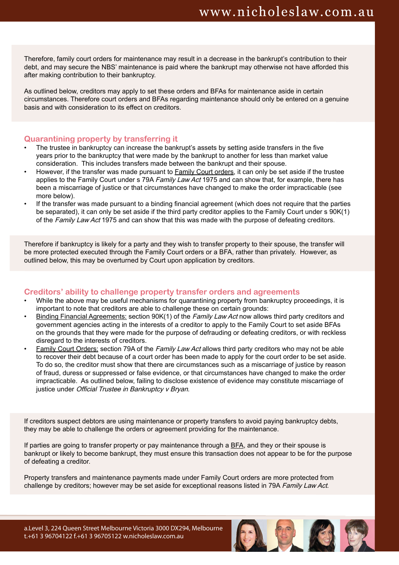Therefore, family court orders for maintenance may result in a decrease in the bankrupt's contribution to their debt, and may secure the NBS' maintenance is paid where the bankrupt may otherwise not have afforded this after making contribution to their bankruptcy.

As outlined below, creditors may apply to set these orders and BFAs for maintenance aside in certain circumstances. Therefore court orders and BFAs regarding maintenance should only be entered on a genuine basis and with consideration to its effect on creditors.

#### **Quarantining property by transferring it**

- The trustee in bankruptcy can increase the bankrupt's assets by setting aside transfers in the five years prior to the bankruptcy that were made by the bankrupt to another for less than market value consideration. This includes transfers made between the bankrupt and their spouse.
- However, if the transfer was made pursuant to **Family Court orders**, it can only be set aside if the trustee applies to the Family Court under s 79A Family Law Act 1975 and can show that, for example, there has been a miscarriage of justice or that circumstances have changed to make the order impracticable (see more below).
- If the transfer was made pursuant to a binding financial agreement (which does not require that the parties be separated), it can only be set aside if the third party creditor applies to the Family Court under s 90K(1) of the Family Law Act 1975 and can show that this was made with the purpose of defeating creditors.

Therefore if bankruptcy is likely for a party and they wish to transfer property to their spouse, the transfer will be more protected executed through the Family Court orders or a BFA, rather than privately. However, as outlined below, this may be overturned by Court upon application by creditors.

#### **Creditors' ability to challenge property transfer orders and agreements**

- While the above may be useful mechanisms for quarantining property from bankruptcy proceedings, it is important to note that creditors are able to challenge these on certain grounds:
- Binding Financial Agreements: section 90K(1) of the Family Law Act now allows third party creditors and government agencies acting in the interests of a creditor to apply to the Family Court to set aside BFAs on the grounds that they were made for the purpose of defrauding or defeating creditors, or with reckless disregard to the interests of creditors.
- Family Court Orders: section 79A of the Family Law Act allows third party creditors who may not be able to recover their debt because of a court order has been made to apply for the court order to be set aside. To do so, the creditor must show that there are circumstances such as a miscarriage of justice by reason of fraud, duress or suppressed or false evidence, or that circumstances have changed to make the order impracticable. As outlined below, failing to disclose existence of evidence may constitute miscarriage of justice under Official Trustee in Bankruptcy v Bryan.

If creditors suspect debtors are using maintenance or property transfers to avoid paying bankruptcy debts, they may be able to challenge the orders or agreement providing for the maintenance.

If parties are going to transfer property or pay maintenance through a BFA, and they or their spouse is bankrupt or likely to become bankrupt, they must ensure this transaction does not appear to be for the purpose of defeating a creditor.

Property transfers and maintenance payments made under Family Court orders are more protected from challenge by creditors; however may be set aside for exceptional reasons listed in 79A Family Law Act.